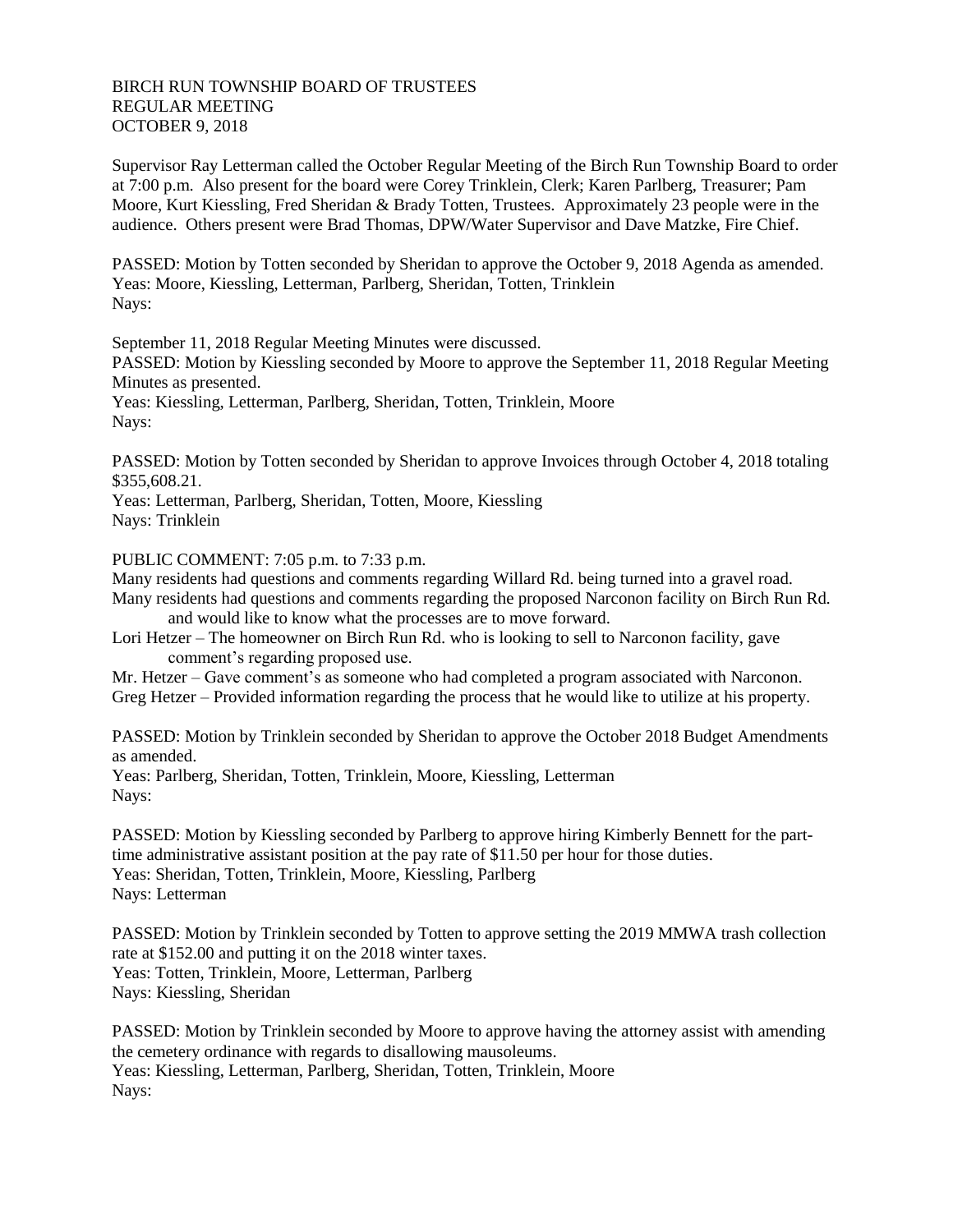## BIRCH RUN TOWNSHIP BOARD OF TRUSTEES REGULAR MEETING OCTOBER 9, 2018

Supervisor Ray Letterman called the October Regular Meeting of the Birch Run Township Board to order at 7:00 p.m. Also present for the board were Corey Trinklein, Clerk; Karen Parlberg, Treasurer; Pam Moore, Kurt Kiessling, Fred Sheridan & Brady Totten, Trustees. Approximately 23 people were in the audience. Others present were Brad Thomas, DPW/Water Supervisor and Dave Matzke, Fire Chief.

PASSED: Motion by Totten seconded by Sheridan to approve the October 9, 2018 Agenda as amended. Yeas: Moore, Kiessling, Letterman, Parlberg, Sheridan, Totten, Trinklein Nays:

September 11, 2018 Regular Meeting Minutes were discussed.

PASSED: Motion by Kiessling seconded by Moore to approve the September 11, 2018 Regular Meeting Minutes as presented.

Yeas: Kiessling, Letterman, Parlberg, Sheridan, Totten, Trinklein, Moore Nays:

PASSED: Motion by Totten seconded by Sheridan to approve Invoices through October 4, 2018 totaling \$355,608.21.

Yeas: Letterman, Parlberg, Sheridan, Totten, Moore, Kiessling Nays: Trinklein

PUBLIC COMMENT: 7:05 p.m. to 7:33 p.m.

Many residents had questions and comments regarding Willard Rd. being turned into a gravel road.

Many residents had questions and comments regarding the proposed Narconon facility on Birch Run Rd. and would like to know what the processes are to move forward.

Lori Hetzer – The homeowner on Birch Run Rd. who is looking to sell to Narconon facility, gave comment's regarding proposed use.

Mr. Hetzer – Gave comment's as someone who had completed a program associated with Narconon. Greg Hetzer – Provided information regarding the process that he would like to utilize at his property.

PASSED: Motion by Trinklein seconded by Sheridan to approve the October 2018 Budget Amendments as amended.

Yeas: Parlberg, Sheridan, Totten, Trinklein, Moore, Kiessling, Letterman Nays:

PASSED: Motion by Kiessling seconded by Parlberg to approve hiring Kimberly Bennett for the parttime administrative assistant position at the pay rate of \$11.50 per hour for those duties. Yeas: Sheridan, Totten, Trinklein, Moore, Kiessling, Parlberg Nays: Letterman

PASSED: Motion by Trinklein seconded by Totten to approve setting the 2019 MMWA trash collection rate at \$152.00 and putting it on the 2018 winter taxes. Yeas: Totten, Trinklein, Moore, Letterman, Parlberg Nays: Kiessling, Sheridan

PASSED: Motion by Trinklein seconded by Moore to approve having the attorney assist with amending the cemetery ordinance with regards to disallowing mausoleums. Yeas: Kiessling, Letterman, Parlberg, Sheridan, Totten, Trinklein, Moore Nays: